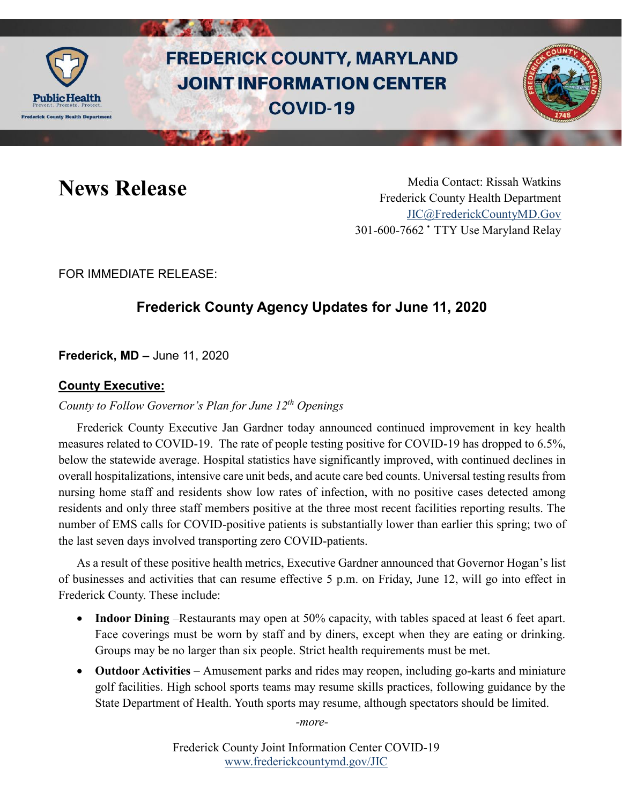

# **FREDERICK COUNTY, MARYLAND JOINT INFORMATION CENTER COVID-19**



News Release Media Contact: Rissah Watkins Frederick County Health Department [JIC@FrederickCountyMD.Gov](mailto:JIC@FrederickCountyMD.Gov) 301-600-7662 • TTY Use Maryland Relay

FOR IMMEDIATE RELEASE:

# **Frederick County Agency Updates for June 11, 2020**

**Frederick, MD –** June 11, 2020

# **County Executive:**

#### *County to Follow Governor's Plan for June 12th Openings*

Frederick County Executive Jan Gardner today announced continued improvement in key health measures related to COVID-19. The rate of people testing positive for COVID-19 has dropped to 6.5%, below the statewide average. Hospital statistics have significantly improved, with continued declines in overall hospitalizations, intensive care unit beds, and acute care bed counts. Universal testing results from nursing home staff and residents show low rates of infection, with no positive cases detected among residents and only three staff members positive at the three most recent facilities reporting results. The number of EMS calls for COVID-positive patients is substantially lower than earlier this spring; two of the last seven days involved transporting zero COVID-patients.

As a result of these positive health metrics, Executive Gardner announced that Governor Hogan's list of businesses and activities that can resume effective 5 p.m. on Friday, June 12, will go into effect in Frederick County. These include:

- **Indoor Dining** –Restaurants may open at 50% capacity, with tables spaced at least 6 feet apart. Face coverings must be worn by staff and by diners, except when they are eating or drinking. Groups may be no larger than six people. Strict health requirements must be met.
- **Outdoor Activities**  Amusement parks and rides may reopen, including go-karts and miniature golf facilities. High school sports teams may resume skills practices, following guidance by the State Department of Health. Youth sports may resume, although spectators should be limited.

*-more-*

Frederick County Joint Information Center COVID-19 [www.frederickcountymd.gov/JIC](https://frederickcountymd.gov/JIC)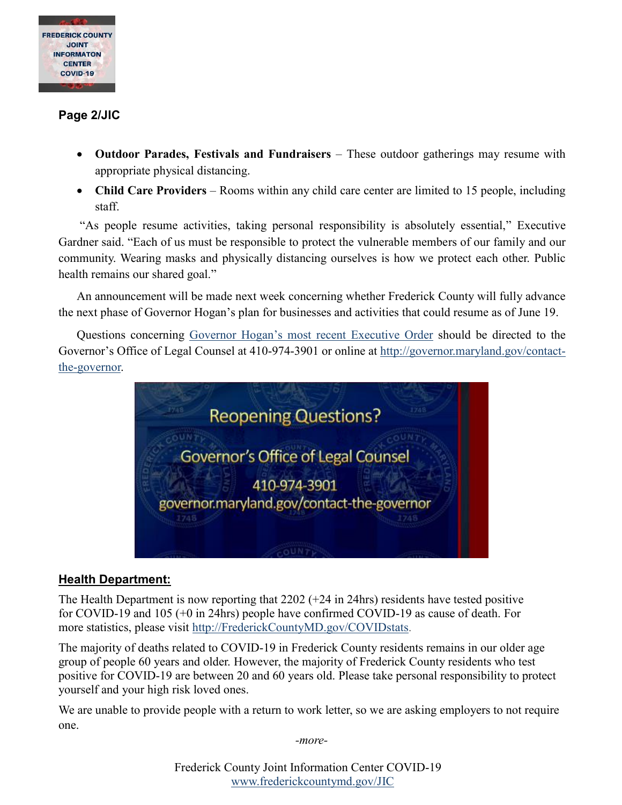

# **Page 2/JIC**

- **Outdoor Parades, Festivals and Fundraisers**  These outdoor gatherings may resume with appropriate physical distancing.
- Child Care Providers Rooms within any child care center are limited to 15 people, including staff.

"As people resume activities, taking personal responsibility is absolutely essential," Executive Gardner said. "Each of us must be responsible to protect the vulnerable members of our family and our community. Wearing masks and physically distancing ourselves is how we protect each other. Public health remains our shared goal."

An announcement will be made next week concerning whether Frederick County will fully advance the next phase of Governor Hogan's plan for businesses and activities that could resume as of June 19.

Questions concerning [Governor Hogan's most recent Executive Order](https://governor.maryland.gov/wp-content/uploads/2020/06/Gatherings-NINTH-AMENDED-6.10.20.pdf) should be directed to the Governor's Office of Legal Counsel at 410-974-3901 or online at [http://governor.maryland.gov/contact](http://governor.maryland.gov/contact-the-governor)[the-governor.](http://governor.maryland.gov/contact-the-governor)



# **Health Department:**

The Health Department is now reporting that 2202 (+24 in 24hrs) residents have tested positive for COVID-19 and 105 (+0 in 24hrs) people have confirmed COVID-19 as cause of death. For more statistics, please visit [http://FrederickCountyMD.gov/COVIDstats.](http://frederickcountymd.gov/COVIDstats)

The majority of deaths related to COVID-19 in Frederick County residents remains in our older age group of people 60 years and older. However, the majority of Frederick County residents who test positive for COVID-19 are between 20 and 60 years old. Please take personal responsibility to protect yourself and your high risk loved ones.

We are unable to provide people with a return to work letter, so we are asking employers to not require one.

*-more-*

Frederick County Joint Information Center COVID-19 [www.frederickcountymd.gov/JIC](https://frederickcountymd.gov/JIC)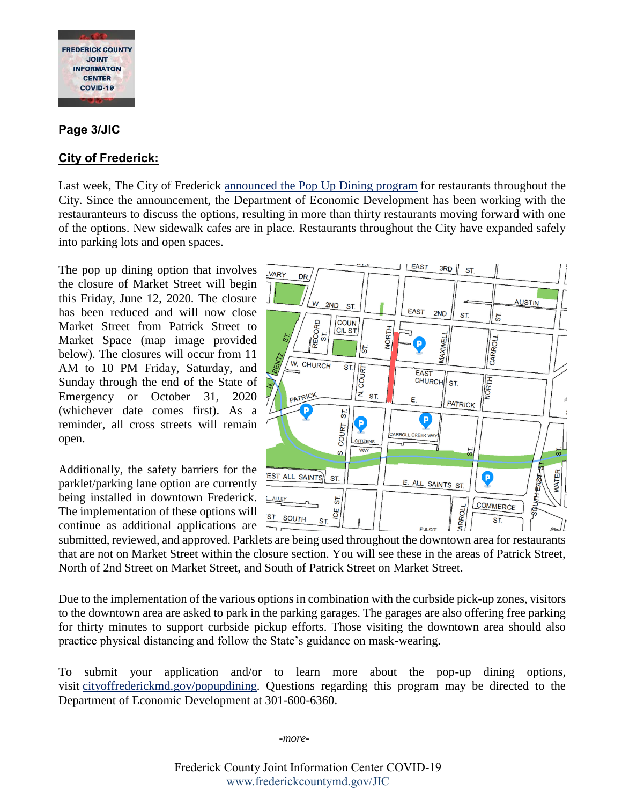

#### **Page 3/JIC**

### **City of Frederick:**

Last week, The City of Frederick [announced](https://www.cityoffrederickmd.gov/CivicAlerts.aspx?AID=6205) the Pop Up Dining program for restaurants throughout the City. Since the announcement, the Department of Economic Development has been working with the restauranteurs to discuss the options, resulting in more than thirty restaurants moving forward with one of the options. New sidewalk cafes are in place. Restaurants throughout the City have expanded safely into parking lots and open spaces.

The pop up dining option that involves  $\overline{v_{\text{uary}}}$ the closure of Market Street will begin this Friday, June 12, 2020. The closure has been reduced and will now close Market Street from Patrick Street to Market Space (map image provided below). The closures will occur from 11 AM to 10 PM Friday, Saturday, and Sunday through the end of the State of Emergency or October 31, 2020 (whichever date comes first). As a reminder, all cross streets will remain open.

Additionally, the safety barriers for the parklet/parking lane option are currently being installed in downtown Frederick. The implementation of these options will continue as additional applications are



submitted, reviewed, and approved. Parklets are being used throughout the downtown area for restaurants that are not on Market Street within the closure section. You will see these in the areas of Patrick Street, North of 2nd Street on Market Street, and South of Patrick Street on Market Street.

Due to the implementation of the various options in combination with the curbside pick-up zones, visitors to the downtown area are asked to park in the parking garages. The garages are also offering free parking for thirty minutes to support curbside pickup efforts. Those visiting the downtown area should also practice physical distancing and follow the State's guidance on mask-wearing.

To submit your application and/or to learn more about the pop-up dining options, visit [cityoffrederickmd.gov/popupdining.](https://cityoffrederickmd.gov/popupdining) Questions regarding this program may be directed to the Department of Economic Development at 301-600-6360.

*-more-*